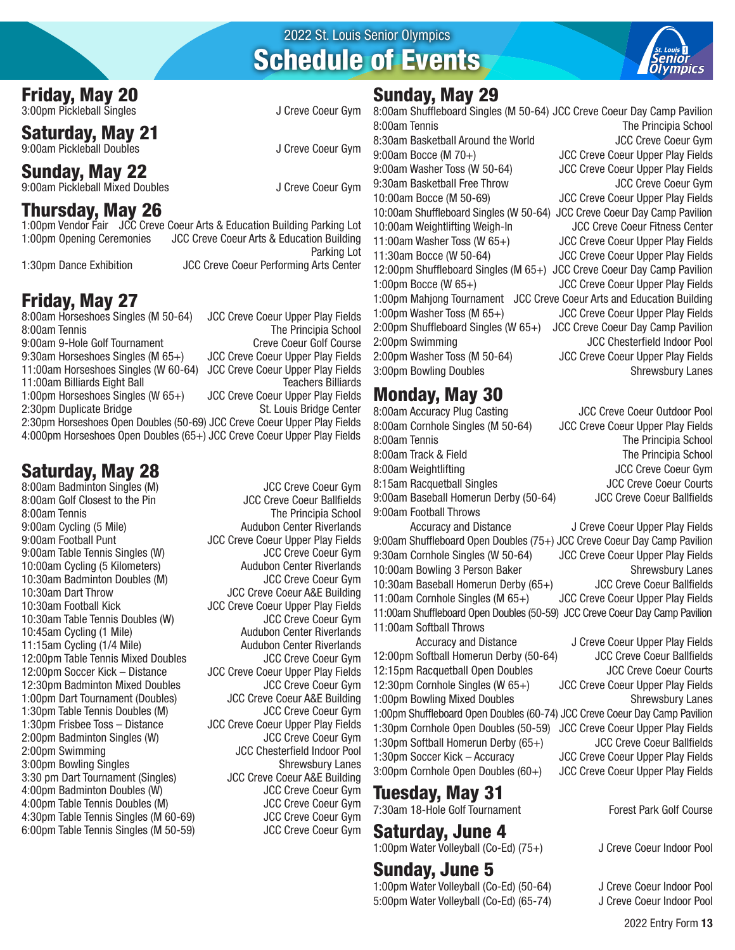#### Friday, May 20

3:00pm Pickleball Singles J Creve Coeur Gym

Saturday, May 21 9:00am Pickleball Doubles J Creve Coeur Gym

Sunday, May 22 9:00am Pickleball Mixed Doubles J Creve Coeur Gym

## Thursday, May 26

1:00pm Vendor Fair JCC Creve Coeur Arts & Education Building Parking Lot 1:00pm Opening Ceremonies JCC Creve Coeur Arts & Education Building Parking Lot

1:30pm Dance Exhibition JCC Creve Coeur Performing Arts Center

## Friday, May 27

8:00am Horseshoes Singles (M 50-64) JCC Creve Coeur Upper Play Fields The Principia School 9:00am 9-Hole Golf Tournament Creve Coeur Golf Course 9:30am Horseshoes Singles (M 65+) JCC Creve Coeur Upper Play Fields<br>11:00am Horseshoes Singles (W 60-64) JCC Creve Coeur Upper Play Fields 11:00am Horseshoes Singles (W 60-64) 11:00am Billiards Eight Ball Teachers Billiards 1:00pm Horseshoes Singles (W 65+) JCC Creve Coeur Upper Play Fields 2:30pm Duplicate Bridge 2:30pm Horseshoes Open Doubles (50-69) JCC Creve Coeur Upper Play Fields 4:000pm Horseshoes Open Doubles (65+) JCC Creve Coeur Upper Play Fields

# Saturday, May 28

8:00am Golf Closest to the Pin JCC Creve Coeur Ballfields 9:00am Cycling (5 Mile) Audubon Center Riverlands 9:00am Football Punt JCC Creve Coeur Upper Play Fields<br>9:00am Table Tennis Singles (W) JCC Creve Coeur Gym 9:00am Table Tennis Singles (W) 10:00am Cycling (5 Kilometers) Audubon Center Riverlands 10:30am Badminton Doubles (M) JCC Creve Coeur Gym 10:30am Football Kick JCC Creve Coeur Upper Play Fields 10:30am Table Tennis Doubles (W) double JCC Creve Coeur Gym<br>10:45am Cycling (1 Mile) 10:45am Cycling (1 Mile) 10:45am Cycling (1 Mile) 11:15am Cycling (1/4 Mile) Audubon Center Riverlands 12:00pm Table Tennis Mixed Doubles JCC Creve Coeur Gym<br>12:00pm Soccer Kick – Distance JCC Creve Coeur Upper Play Fields 12:30pm Badminton Mixed Doubles JCC Creve Coeur Gym 1:00pm Dart Tournament (Doubles) JCC Creve Coeur A&E Building 1:30pm Table Tennis Doubles (M) 1:30pm Frisbee Toss – Distance JCC Creve Coeur Upper Play Fields 2:00pm Badminton Singles (W) JCC Creve Coeur Gym 2:00pm Swimming JCC Chesterfield Indoor Pool 3:00pm Bowling Singles Shrewsbury Lanes 3:30 pm Dart Tournament (Singles) JCC Creve Coeur A&E Building 4:00pm Badminton Doubles (W) 4:00pm Table Tennis Doubles (M) JCC Creve Coeur Gym 4:30pm Table Tennis Singles (M 60-69) JCC Creve Coeur Gym<br>6:00pm Table Tennis Singles (M 50-59) JCC Creve Coeur Gym 6:00pm Table Tennis Singles (M 50-59)

8:00am Badminton Singles (M) JCC Creve Coeur Gym The Principia School JCC Creve Coeur A&E Building JCC Creve Coeur Upper Play Fields

# Schedule of Events

2022 St. Louis Senior Olympics



#### Sunday, May 29

8:00am Shuffleboard Singles (M 50-64) JCC Creve Coeur Day Camp Pavilion 8:00am Tennis The Principia School 8:30am Basketball Around the World **State Coeur Gymuss Coeur Gymuss** JCC Creve Coeur Gym 9:00am Bocce (M 70+) JCC Creve Coeur Upper Play Fields 9:00am Washer Toss (W 50-64) JCC Creve Coeur Upper Play Fields 9:30am Basketball Free Throw JCC Creve Coeur Gym 10:00am Bocce (M 50-69) JCC Creve Coeur Upper Play Fields 10:00am Shuffleboard Singles (W 50-64) JCC Creve Coeur Day Camp Pavilion 10:00am Weightlifting Weigh-In JCC Creve Coeur Fitness Center 11:00am Washer Toss (W 65+) JCC Creve Coeur Upper Play Fields 11:30am Bocce (W 50-64) JCC Creve Coeur Upper Play Fields 12:00pm Shuffleboard Singles (M 65+) JCC Creve Coeur Day Camp Pavilion 1:00pm Bocce (W 65+) JCC Creve Coeur Upper Play Fields 1:00pm Mahjong Tournament JCC Creve Coeur Arts and Education Building 1:00pm Washer Toss (M 65+) JCC Creve Coeur Upper Play Fields 2:00pm Shuffleboard Singles (W 65+) JCC Creve Coeur Day Camp Pavilion 2:00pm Swimming JCC Chesterfield Indoor Pool 2:00pm Washer Toss (M 50-64) JCC Creve Coeur Upper Play Fields 3:00pm Bowling Doubles Shrewsbury Lanes

#### Monday, May 30

8:00am Accuracy Plug Casting JCC Creve Coeur Outdoor Pool 8:00am Cornhole Singles (M 50-64) JCC Creve Coeur Upper Play Fields 8:00am Tennis The Principia School 8:00am Track & Field The Principia School 8:00am Weightlifting **Solution** JCC Creve Coeur Gym 8:15am Racquetball Singles JCC Creve Coeur Courts 9:00am Baseball Homerun Derby (50-64) JCC Creve Coeur Ballfields 9:00am Football Throws Accuracy and Distance J Creve Coeur Upper Play Fields 9:00am Shuffleboard Open Doubles (75+) JCC Creve Coeur Day Camp Pavilion 9:30am Cornhole Singles (W 50-64) JCC Creve Coeur Upper Play Fields 10:00am Bowling 3 Person Baker Shrewsbury Lanes 10:30am Baseball Homerun Derby (65+) JCC Creve Coeur Ballfields 11:00am Cornhole Singles (M 65+) JCC Creve Coeur Upper Play Fields 11:00am Shuffleboard Open Doubles (50-59) JCC Creve Coeur Day Camp Pavilion 11:00am Softball Throws Accuracy and Distance J Creve Coeur Upper Play Fields 12:00pm Softball Homerun Derby (50-64) JCC Creve Coeur Ballfields 12:15pm Racquetball Open Doubles JCC Creve Coeur Courts 12:30pm Cornhole Singles (W 65+) JCC Creve Coeur Upper Play Fields 1:00pm Bowling Mixed Doubles Shrewsbury Lanes 1:00pm Shuffleboard Open Doubles (60-74) JCC Creve Coeur Day Camp Pavilion 1:30pm Cornhole Open Doubles (50-59) JCC Creve Coeur Upper Play Fields 1:30pm Softball Homerun Derby (65+) JCC Creve Coeur Ballfields 1:30pm Soccer Kick – Accuracy JCC Creve Coeur Upper Play Fields 3:00pm Cornhole Open Doubles (60+) JCC Creve Coeur Upper Play Fields Tuesday, May 31 7:30am 18-Hole Golf Tournament Forest Park Golf Course

#### Saturday, June 4

1:00pm Water Volleyball (Co-Ed) (75+) J Creve Coeur Indoor Pool

#### Sunday, June 5

1:00pm Water Volleyball (Co-Ed) (50-64) J Creve Coeur Indoor Pool 5:00pm Water Volleyball (Co-Ed) (65-74) J Creve Coeur Indoor Pool